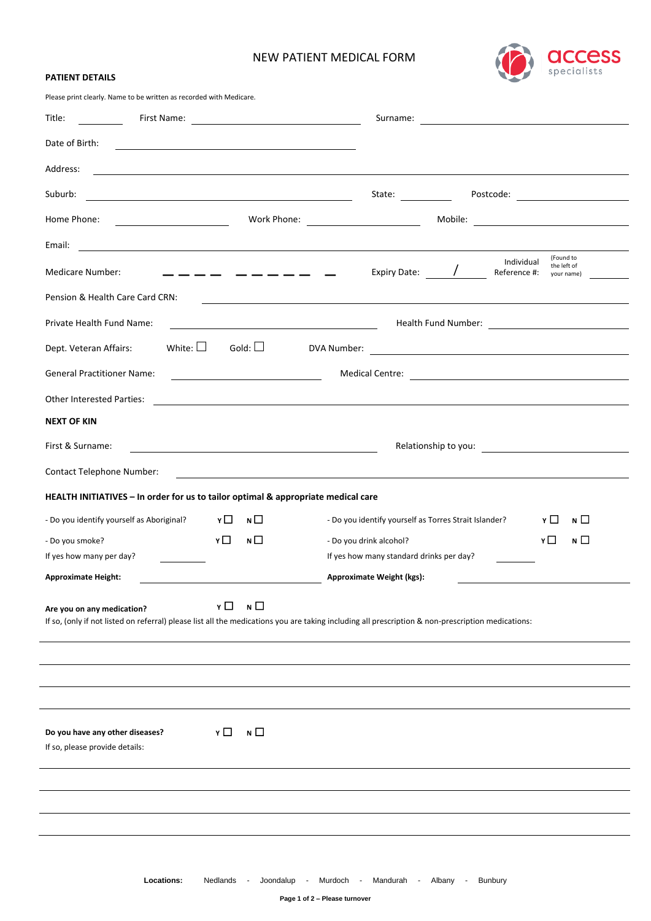# NEW PATIENT MEDICAL FORM



| <b>PATIENT DETAILS</b> |
|------------------------|
|------------------------|

Please print clearly. Name to be written as recorded with Medicare.

| Title:                                                                                                                                                                                            |                                                                                                                       |
|---------------------------------------------------------------------------------------------------------------------------------------------------------------------------------------------------|-----------------------------------------------------------------------------------------------------------------------|
| Date of Birth:<br><u> 1989 - Johann Stein, mars an deutscher Stein und der Stein und der Stein und der Stein und der Stein und der</u>                                                            |                                                                                                                       |
| Address:                                                                                                                                                                                          | ,我们也不会有什么。""我们的人,我们也不会有什么?""我们的人,我们也不会有什么?""我们的人,我们也不会有什么?""我们的人,我们也不会有什么?""我们的人                                      |
| Suburb:<br><u> 1989 - Johann Barn, mars ann an t-Amhain an t-Amhain an t-Amhain an t-Amhain an t-Amhain an t-Amhain an t-Amh</u>                                                                  |                                                                                                                       |
| Home Phone:                                                                                                                                                                                       |                                                                                                                       |
| Email:<br><u> 1989 - Johann Barn, mars ann an t-Amhain an t-Amhain an t-Amhain an t-Amhain an t-Amhain an t-Amhain an t-Amh</u>                                                                   |                                                                                                                       |
| Medicare Number:<br>$  -$<br>_______                                                                                                                                                              | (Found to<br>Individual<br>the left of<br>Expiry Date: /<br>Reference #:<br>your name)                                |
| Pension & Health Care Card CRN:                                                                                                                                                                   | <u> 1989 - Johann Stoff, deutscher Stoff, der Stoff, der Stoff, der Stoff, der Stoff, der Stoff, der Stoff, der S</u> |
| Private Health Fund Name:<br><u> 1980 - Johann Barnett, fransk politik (</u>                                                                                                                      |                                                                                                                       |
| White: $\Box$<br>Gold: $\Box$<br>Dept. Veteran Affairs:                                                                                                                                           |                                                                                                                       |
| <b>General Practitioner Name:</b><br><u> 1980 - Johann Barbara, martin a</u>                                                                                                                      |                                                                                                                       |
| Other Interested Parties:                                                                                                                                                                         |                                                                                                                       |
| <b>NEXT OF KIN</b>                                                                                                                                                                                |                                                                                                                       |
| First & Surname:<br><u> 1980 - Johann Barbara, martin amerikan basar dan basar dan basar dalam basar dalam basar dalam basar dalam b</u>                                                          |                                                                                                                       |
| <b>Contact Telephone Number:</b>                                                                                                                                                                  | ,我们也不会有一个人的人,我们也不会有一个人的人,我们也不会有一个人的人。""我们,我们也不会有一个人的人,我们也不会有一个人的人,我们也不会有一个人的人,我们                                      |
| HEALTH INITIATIVES - In order for us to tailor optimal & appropriate medical care                                                                                                                 |                                                                                                                       |
| - Do you identify yourself as Aboriginal? $Y \Box$<br>N                                                                                                                                           | - Do you identify yourself as Torres Strait Islander?<br>Y □<br>$N \Box$                                              |
| $N \Box$<br>Y□<br>- Do you smoke?                                                                                                                                                                 | YП<br>$N$ $\Box$<br>- Do you drink alcohol?                                                                           |
| If yes how many per day?                                                                                                                                                                          | If yes how many standard drinks per day?                                                                              |
| <b>Approximate Height:</b>                                                                                                                                                                        | Approximate Weight (kgs):                                                                                             |
| YП<br>N $\Box$<br>Are you on any medication?<br>If so, (only if not listed on referral) please list all the medications you are taking including all prescription & non-prescription medications: |                                                                                                                       |
|                                                                                                                                                                                                   |                                                                                                                       |
|                                                                                                                                                                                                   |                                                                                                                       |
| N<br>YЦ<br>Do you have any other diseases?                                                                                                                                                        |                                                                                                                       |
| If so, please provide details:                                                                                                                                                                    |                                                                                                                       |
|                                                                                                                                                                                                   |                                                                                                                       |
|                                                                                                                                                                                                   |                                                                                                                       |